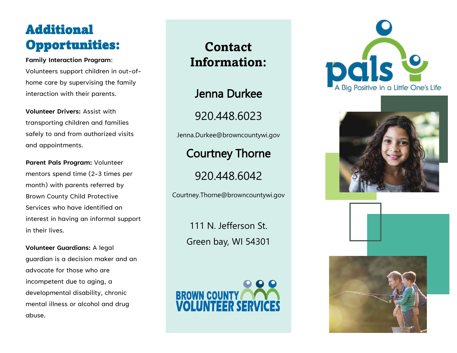# Additional Opportunities:

#### **Family Interaction Program**:

Volunteers support children in out-ofhome care by supervising the family interaction with their parents.

**Volunteer Drivers:** Assist with transporting children and families safely to and from authorized visits and appointments.

**Parent Pals Program:** Volunteer mentors spend time (2-3 times per month) with parents referred by Brown County Child Protective Services who have identified an interest in having an informal support in their lives.

**Volunteer Guardians:** A legal guardian is a decision maker and an advocate for those who are incompetent due to aging, a developmental disability, chronic mental illness or alcohol and drug abuse.

**Contact Information:**

Jenna Durkee

920.448.6023

Jenna.Durkee@browncountywi.gov

Courtney Thorne

920.448.6042

Courtney.Thorne@browncountywi.gov

111 N. Jefferson St. Green bay, WI 54301

**BROWN COUNTY**